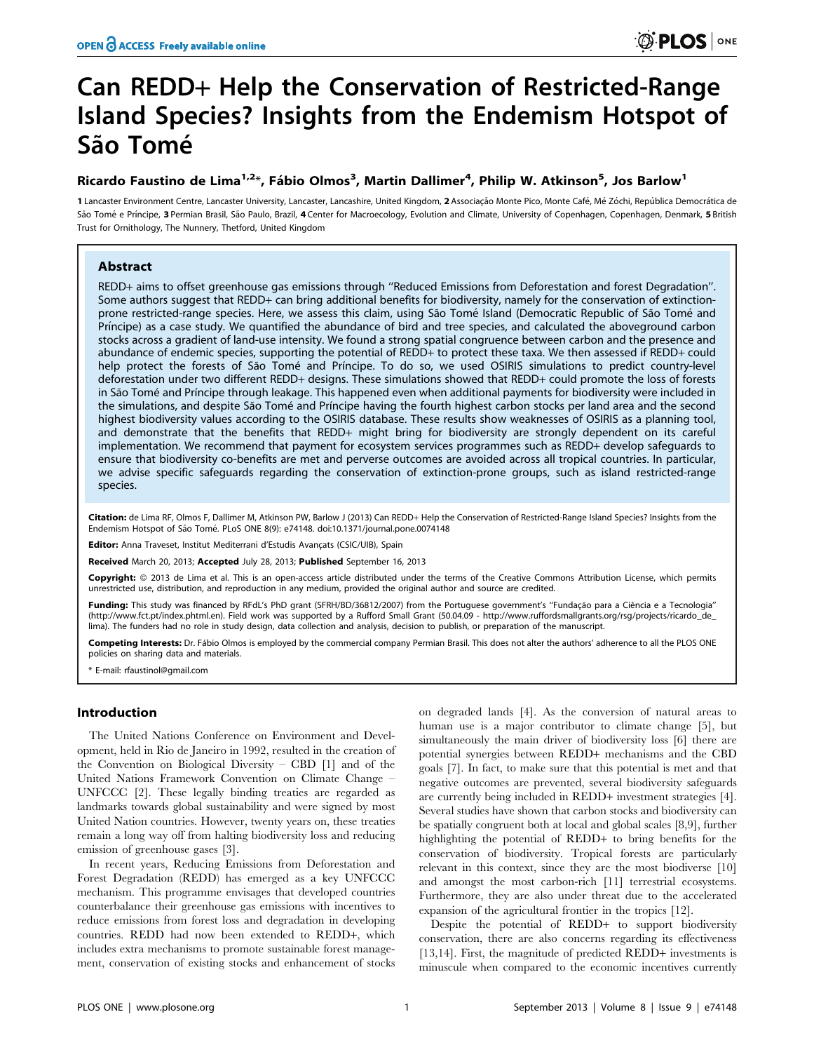# Can REDD+ Help the Conservation of Restricted-Range Island Species? Insights from the Endemism Hotspot of São Tomé

## Ricardo Faustino de Lima<sup>1,2</sup>\*, Fábio Olmos<sup>3</sup>, Martin Dallimer<sup>4</sup>, Philip W. Atkinson<sup>5</sup>, Jos Barlow<sup>1</sup>

1 Lancaster Environment Centre, Lancaster University, Lancaster, Lancashire, United Kingdom, 2 Associação Monte Pico, Monte Café, Mé Zóchi, República Democrática de São Tomé e Príncipe, 3 Permian Brasil, São Paulo, Brazil, 4 Center for Macroecology, Evolution and Climate, University of Copenhagen, Copenhagen, Denmark, 5 British Trust for Ornithology, The Nunnery, Thetford, United Kingdom

## Abstract

REDD+ aims to offset greenhouse gas emissions through ''Reduced Emissions from Deforestation and forest Degradation''. Some authors suggest that REDD+ can bring additional benefits for biodiversity, namely for the conservation of extinctionprone restricted-range species. Here, we assess this claim, using São Tomé Island (Democratic Republic of São Tomé and Príncipe) as a case study. We quantified the abundance of bird and tree species, and calculated the aboveground carbon stocks across a gradient of land-use intensity. We found a strong spatial congruence between carbon and the presence and abundance of endemic species, supporting the potential of REDD+ to protect these taxa. We then assessed if REDD+ could help protect the forests of São Tomé and Príncipe. To do so, we used OSIRIS simulations to predict country-level deforestation under two different REDD+ designs. These simulations showed that REDD+ could promote the loss of forests in São Tomé and Príncipe through leakage. This happened even when additional payments for biodiversity were included in the simulations, and despite São Tomé and Príncipe having the fourth highest carbon stocks per land area and the second highest biodiversity values according to the OSIRIS database. These results show weaknesses of OSIRIS as a planning tool, and demonstrate that the benefits that REDD+ might bring for biodiversity are strongly dependent on its careful implementation. We recommend that payment for ecosystem services programmes such as REDD+ develop safeguards to ensure that biodiversity co-benefits are met and perverse outcomes are avoided across all tropical countries. In particular, we advise specific safeguards regarding the conservation of extinction-prone groups, such as island restricted-range species.

Citation: de Lima RF, Olmos F, Dallimer M, Atkinson PW, Barlow J (2013) Can REDD+ Help the Conservation of Restricted-Range Island Species? Insights from the Endemism Hotspot of São Tomé. PLoS ONE 8(9): e74148. doi:10.1371/journal.pone.0074148

Editor: Anna Traveset, Institut Mediterrani d'Estudis Avançats (CSIC/UIB), Spain

Received March 20, 2013; Accepted July 28, 2013; Published September 16, 2013

Copyright: @ 2013 de Lima et al. This is an open-access article distributed under the terms of the Creative Commons Attribution License, which permits unrestricted use, distribution, and reproduction in any medium, provided the original author and source are credited.

Funding: This study was financed by RFdL's PhD grant (SFRH/BD/36812/2007) from the Portuguese government's "Fundação para a Ciência e a Tecnologia" (http://www.fct.pt/index.phtml.en). Field work was supported by a Rufford Small Grant (50.04.09 - http://www.ruffordsmallgrants.org/rsg/projects/ricardo\_de\_ lima). The funders had no role in study design, data collection and analysis, decision to publish, or preparation of the manuscript.

Competing Interests: Dr. Fábio Olmos is employed by the commercial company Permian Brasil. This does not alter the authors' adherence to all the PLOS ONE policies on sharing data and materials.

\* E-mail: rfaustinol@gmail.com

#### Introduction

The United Nations Conference on Environment and Development, held in Rio de Janeiro in 1992, resulted in the creation of the Convention on Biological Diversity – CBD [1] and of the United Nations Framework Convention on Climate Change – UNFCCC [2]. These legally binding treaties are regarded as landmarks towards global sustainability and were signed by most United Nation countries. However, twenty years on, these treaties remain a long way off from halting biodiversity loss and reducing emission of greenhouse gases [3].

In recent years, Reducing Emissions from Deforestation and Forest Degradation (REDD) has emerged as a key UNFCCC mechanism. This programme envisages that developed countries counterbalance their greenhouse gas emissions with incentives to reduce emissions from forest loss and degradation in developing countries. REDD had now been extended to REDD+, which includes extra mechanisms to promote sustainable forest management, conservation of existing stocks and enhancement of stocks

on degraded lands [4]. As the conversion of natural areas to human use is a major contributor to climate change [5], but simultaneously the main driver of biodiversity loss [6] there are potential synergies between REDD+ mechanisms and the CBD goals [7]. In fact, to make sure that this potential is met and that negative outcomes are prevented, several biodiversity safeguards are currently being included in REDD+ investment strategies [4]. Several studies have shown that carbon stocks and biodiversity can be spatially congruent both at local and global scales [8,9], further highlighting the potential of REDD+ to bring benefits for the conservation of biodiversity. Tropical forests are particularly relevant in this context, since they are the most biodiverse [10] and amongst the most carbon-rich [11] terrestrial ecosystems. Furthermore, they are also under threat due to the accelerated expansion of the agricultural frontier in the tropics [12].

Despite the potential of REDD+ to support biodiversity conservation, there are also concerns regarding its effectiveness [13,14]. First, the magnitude of predicted REDD+ investments is minuscule when compared to the economic incentives currently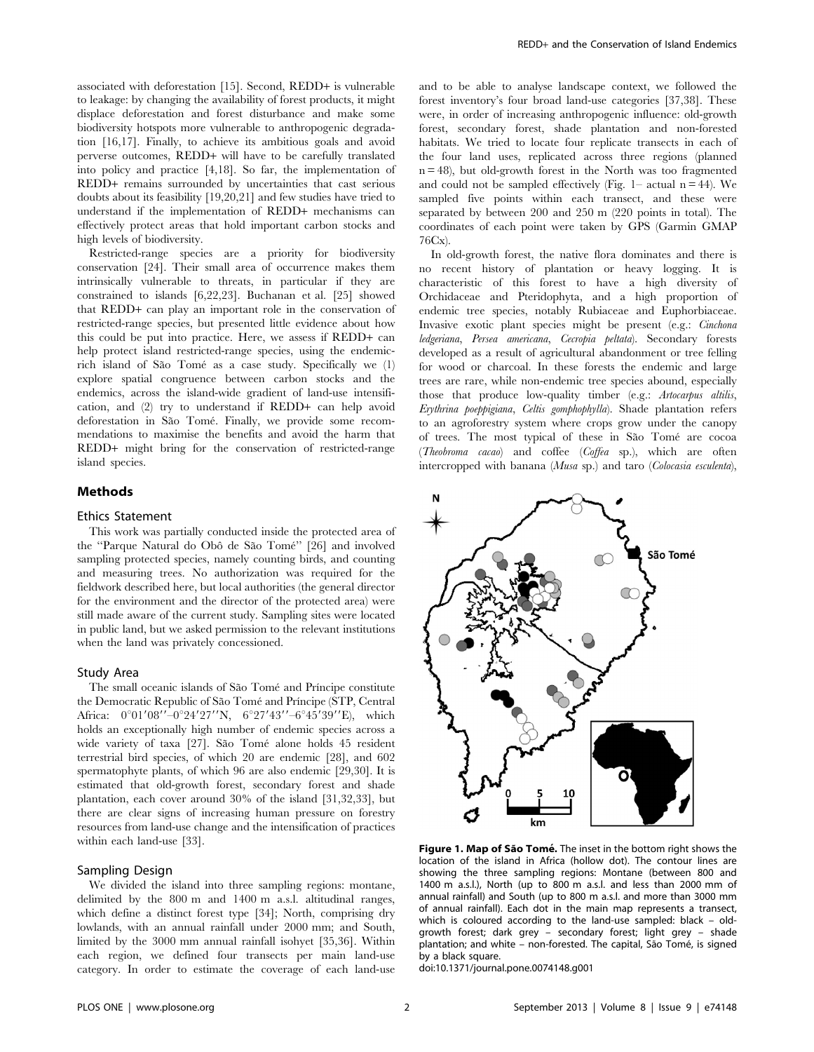associated with deforestation [15]. Second, REDD+ is vulnerable to leakage: by changing the availability of forest products, it might displace deforestation and forest disturbance and make some biodiversity hotspots more vulnerable to anthropogenic degradation [16,17]. Finally, to achieve its ambitious goals and avoid perverse outcomes, REDD+ will have to be carefully translated into policy and practice [4,18]. So far, the implementation of REDD+ remains surrounded by uncertainties that cast serious doubts about its feasibility [19,20,21] and few studies have tried to understand if the implementation of REDD+ mechanisms can effectively protect areas that hold important carbon stocks and high levels of biodiversity.

Restricted-range species are a priority for biodiversity conservation [24]. Their small area of occurrence makes them intrinsically vulnerable to threats, in particular if they are constrained to islands [6,22,23]. Buchanan et al. [25] showed that REDD+ can play an important role in the conservation of restricted-range species, but presented little evidence about how this could be put into practice. Here, we assess if REDD+ can help protect island restricted-range species, using the endemicrich island of São Tomé as a case study. Specifically we (1) explore spatial congruence between carbon stocks and the endemics, across the island-wide gradient of land-use intensification, and (2) try to understand if REDD+ can help avoid deforestation in São Tomé. Finally, we provide some recommendations to maximise the benefits and avoid the harm that REDD+ might bring for the conservation of restricted-range island species.

## Methods

#### Ethics Statement

This work was partially conducted inside the protected area of the "Parque Natural do Obô de São Tomé" [26] and involved sampling protected species, namely counting birds, and counting and measuring trees. No authorization was required for the fieldwork described here, but local authorities (the general director for the environment and the director of the protected area) were still made aware of the current study. Sampling sites were located in public land, but we asked permission to the relevant institutions when the land was privately concessioned.

#### Study Area

The small oceanic islands of São Tomé and Príncipe constitute the Democratic Republic of São Tomé and Príncipe (STP, Central Africa:  $0^{\circ}01'08'' - 0^{\circ}24'27''N$ ,  $6^{\circ}27'43'' - 6^{\circ}45'39''E$ , which holds an exceptionally high number of endemic species across a wide variety of taxa [27]. São Tomé alone holds 45 resident terrestrial bird species, of which 20 are endemic [28], and 602 spermatophyte plants, of which 96 are also endemic [29,30]. It is estimated that old-growth forest, secondary forest and shade plantation, each cover around 30% of the island [31,32,33], but there are clear signs of increasing human pressure on forestry resources from land-use change and the intensification of practices within each land-use [33].

#### Sampling Design

We divided the island into three sampling regions: montane, delimited by the 800 m and 1400 m a.s.l. altitudinal ranges, which define a distinct forest type [34]; North, comprising dry lowlands, with an annual rainfall under 2000 mm; and South, limited by the 3000 mm annual rainfall isohyet [35,36]. Within each region, we defined four transects per main land-use category. In order to estimate the coverage of each land-use and to be able to analyse landscape context, we followed the forest inventory's four broad land-use categories [37,38]. These were, in order of increasing anthropogenic influence: old-growth forest, secondary forest, shade plantation and non-forested habitats. We tried to locate four replicate transects in each of the four land uses, replicated across three regions (planned  $n = 48$ ), but old-growth forest in the North was too fragmented and could not be sampled effectively (Fig. 1– actual  $n = 44$ ). We sampled five points within each transect, and these were separated by between 200 and 250 m (220 points in total). The coordinates of each point were taken by GPS (Garmin GMAP 76Cx).

In old-growth forest, the native flora dominates and there is no recent history of plantation or heavy logging. It is characteristic of this forest to have a high diversity of Orchidaceae and Pteridophyta, and a high proportion of endemic tree species, notably Rubiaceae and Euphorbiaceae. Invasive exotic plant species might be present (e.g.: Cinchona ledgeriana, Persea americana, Cecropia peltata). Secondary forests developed as a result of agricultural abandonment or tree felling for wood or charcoal. In these forests the endemic and large trees are rare, while non-endemic tree species abound, especially those that produce low-quality timber (e.g.: Artocarpus altilis, Erythrina poeppigiana, Celtis gomphophylla). Shade plantation refers to an agroforestry system where crops grow under the canopy of trees. The most typical of these in São Tomé are cocoa (Theobroma cacao) and coffee (Coffea sp.), which are often intercropped with banana (Musa sp.) and taro (Colocasia esculenta),



Figure 1. Map of São Tomé. The inset in the bottom right shows the location of the island in Africa (hollow dot). The contour lines are showing the three sampling regions: Montane (between 800 and 1400 m a.s.l.), North (up to 800 m a.s.l. and less than 2000 mm of annual rainfall) and South (up to 800 m a.s.l. and more than 3000 mm of annual rainfall). Each dot in the main map represents a transect, which is coloured according to the land-use sampled: black – oldgrowth forest; dark grey – secondary forest; light grey – shade plantation; and white – non-forested. The capital, São Tomé, is signed by a black square.

doi:10.1371/journal.pone.0074148.g001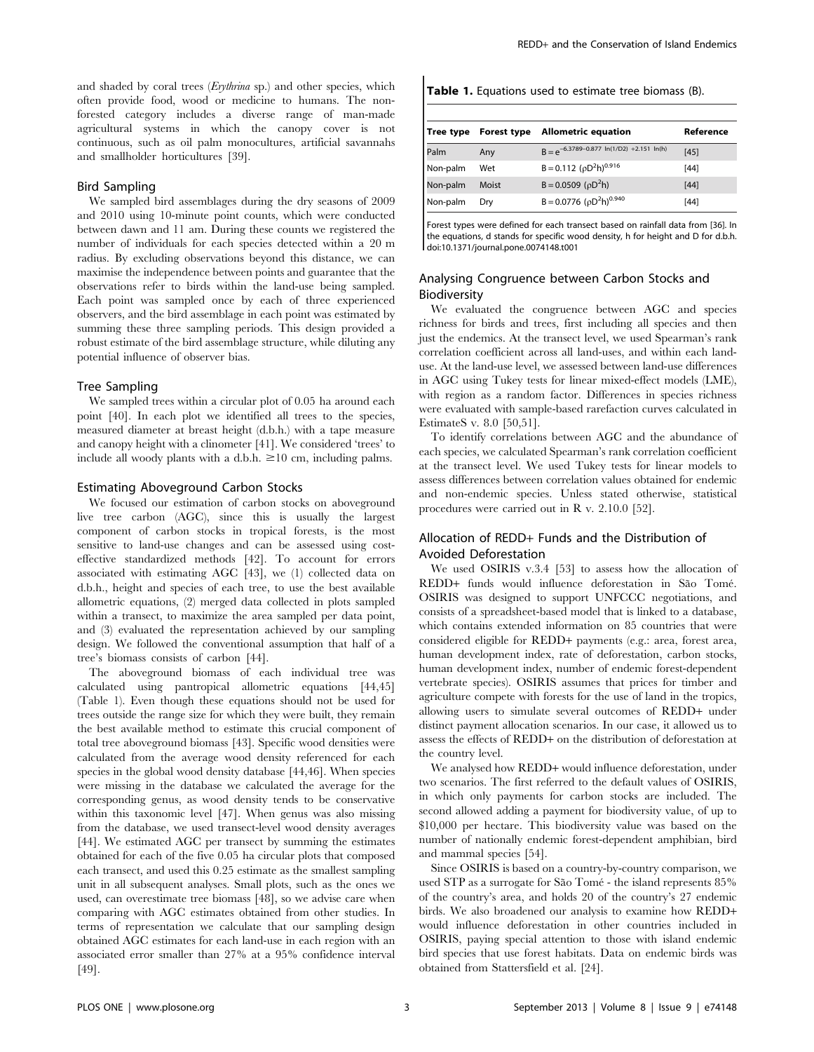and shaded by coral trees (Erythrina sp.) and other species, which often provide food, wood or medicine to humans. The nonforested category includes a diverse range of man-made agricultural systems in which the canopy cover is not continuous, such as oil palm monocultures, artificial savannahs and smallholder horticultures [39].

#### Bird Sampling

We sampled bird assemblages during the dry seasons of 2009 and 2010 using 10-minute point counts, which were conducted between dawn and 11 am. During these counts we registered the number of individuals for each species detected within a 20 m radius. By excluding observations beyond this distance, we can maximise the independence between points and guarantee that the observations refer to birds within the land-use being sampled. Each point was sampled once by each of three experienced observers, and the bird assemblage in each point was estimated by summing these three sampling periods. This design provided a robust estimate of the bird assemblage structure, while diluting any potential influence of observer bias.

#### Tree Sampling

We sampled trees within a circular plot of 0.05 ha around each point [40]. In each plot we identified all trees to the species, measured diameter at breast height (d.b.h.) with a tape measure and canopy height with a clinometer [41]. We considered 'trees' to include all woody plants with a d.b.h.  $\geq 10$  cm, including palms.

#### Estimating Aboveground Carbon Stocks

We focused our estimation of carbon stocks on aboveground live tree carbon (AGC), since this is usually the largest component of carbon stocks in tropical forests, is the most sensitive to land-use changes and can be assessed using costeffective standardized methods [42]. To account for errors associated with estimating AGC [43], we (1) collected data on d.b.h., height and species of each tree, to use the best available allometric equations, (2) merged data collected in plots sampled within a transect, to maximize the area sampled per data point, and (3) evaluated the representation achieved by our sampling design. We followed the conventional assumption that half of a tree's biomass consists of carbon [44].

The aboveground biomass of each individual tree was calculated using pantropical allometric equations [44,45] (Table 1). Even though these equations should not be used for trees outside the range size for which they were built, they remain the best available method to estimate this crucial component of total tree aboveground biomass [43]. Specific wood densities were calculated from the average wood density referenced for each species in the global wood density database [44,46]. When species were missing in the database we calculated the average for the corresponding genus, as wood density tends to be conservative within this taxonomic level [47]. When genus was also missing from the database, we used transect-level wood density averages [44]. We estimated AGC per transect by summing the estimates obtained for each of the five 0.05 ha circular plots that composed each transect, and used this 0.25 estimate as the smallest sampling unit in all subsequent analyses. Small plots, such as the ones we used, can overestimate tree biomass [48], so we advise care when comparing with AGC estimates obtained from other studies. In terms of representation we calculate that our sampling design obtained AGC estimates for each land-use in each region with an associated error smaller than 27% at a 95% confidence interval [49].

|  |  | <b>Table 1.</b> Equations used to estimate tree biomass (B). |  |  |  |  |  |  |
|--|--|--------------------------------------------------------------|--|--|--|--|--|--|
|--|--|--------------------------------------------------------------|--|--|--|--|--|--|

| Tree type | Forest type | <b>Allometric equation</b>                      | Reference |
|-----------|-------------|-------------------------------------------------|-----------|
| Palm      | Any         | $B = e^{-6.3789 - 0.877}$ ln(1/D2) +2.151 ln(h) | $[45]$    |
| Non-palm  | Wet         | $B = 0.112$ ( $\rho D^2 h$ ) <sup>0.916</sup>   | [44]      |
| Non-palm  | Moist       | $B = 0.0509$ ( $\rho D^2 h$ )                   | $[44]$    |
| Non-palm  | Dry         | $B = 0.0776$ ( $\rho D^2 h$ ) <sup>0.940</sup>  | [44]      |

Forest types were defined for each transect based on rainfall data from [36]. In the equations, d stands for specific wood density, h for height and D for d.b.h. doi:10.1371/journal.pone.0074148.t001

#### Analysing Congruence between Carbon Stocks and Biodiversity

We evaluated the congruence between AGC and species richness for birds and trees, first including all species and then just the endemics. At the transect level, we used Spearman's rank correlation coefficient across all land-uses, and within each landuse. At the land-use level, we assessed between land-use differences in AGC using Tukey tests for linear mixed-effect models (LME), with region as a random factor. Differences in species richness were evaluated with sample-based rarefaction curves calculated in EstimateS v. 8.0 [50,51].

To identify correlations between AGC and the abundance of each species, we calculated Spearman's rank correlation coefficient at the transect level. We used Tukey tests for linear models to assess differences between correlation values obtained for endemic and non-endemic species. Unless stated otherwise, statistical procedures were carried out in R v. 2.10.0 [52].

## Allocation of REDD+ Funds and the Distribution of Avoided Deforestation

We used OSIRIS v.3.4 [53] to assess how the allocation of REDD+ funds would influence deforestation in São Tomé. OSIRIS was designed to support UNFCCC negotiations, and consists of a spreadsheet-based model that is linked to a database, which contains extended information on 85 countries that were considered eligible for REDD+ payments (e.g.: area, forest area, human development index, rate of deforestation, carbon stocks, human development index, number of endemic forest-dependent vertebrate species). OSIRIS assumes that prices for timber and agriculture compete with forests for the use of land in the tropics, allowing users to simulate several outcomes of REDD+ under distinct payment allocation scenarios. In our case, it allowed us to assess the effects of REDD+ on the distribution of deforestation at the country level.

We analysed how REDD+ would influence deforestation, under two scenarios. The first referred to the default values of OSIRIS, in which only payments for carbon stocks are included. The second allowed adding a payment for biodiversity value, of up to \$10,000 per hectare. This biodiversity value was based on the number of nationally endemic forest-dependent amphibian, bird and mammal species [54].

Since OSIRIS is based on a country-by-country comparison, we used STP as a surrogate for São Tomé - the island represents 85% of the country's area, and holds 20 of the country's 27 endemic birds. We also broadened our analysis to examine how REDD+ would influence deforestation in other countries included in OSIRIS, paying special attention to those with island endemic bird species that use forest habitats. Data on endemic birds was obtained from Stattersfield et al. [24].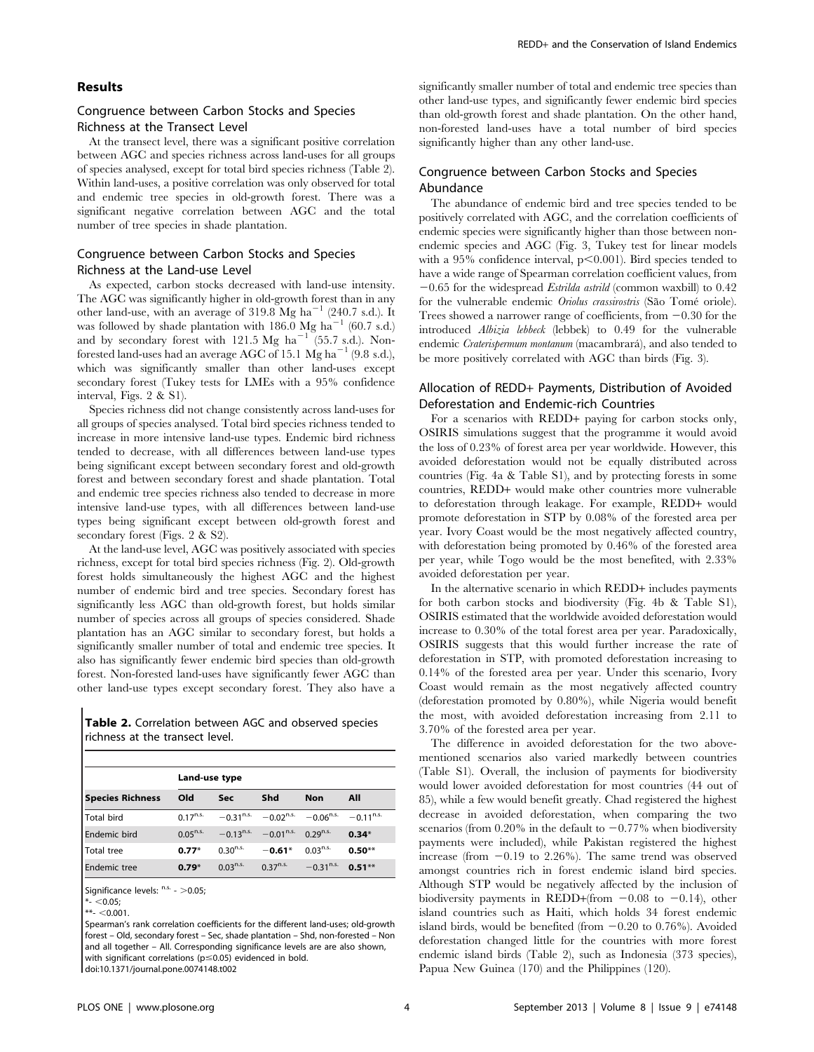#### Results

### Congruence between Carbon Stocks and Species Richness at the Transect Level

At the transect level, there was a significant positive correlation between AGC and species richness across land-uses for all groups of species analysed, except for total bird species richness (Table 2). Within land-uses, a positive correlation was only observed for total and endemic tree species in old-growth forest. There was a significant negative correlation between AGC and the total number of tree species in shade plantation.

## Congruence between Carbon Stocks and Species Richness at the Land-use Level

As expected, carbon stocks decreased with land-use intensity. The AGC was significantly higher in old-growth forest than in any other land-use, with an average of  $319.8 \text{ Mg} \text{ ha}^{-1}$  (240.7 s.d.). It was followed by shade plantation with 186.0 Mg ha<sup> $-1$ </sup> (60.7 s.d.) and by secondary forest with  $121.5 \text{ Mg } \text{ha}^{-1}$  (55.7 s.d.). Nonforested land-uses had an average AGC of 15.1 Mg ha<sup> $-1$ </sup> (9.8 s.d.), which was significantly smaller than other land-uses except secondary forest (Tukey tests for LMEs with a 95% confidence interval, Figs. 2 & S1).

Species richness did not change consistently across land-uses for all groups of species analysed. Total bird species richness tended to increase in more intensive land-use types. Endemic bird richness tended to decrease, with all differences between land-use types being significant except between secondary forest and old-growth forest and between secondary forest and shade plantation. Total and endemic tree species richness also tended to decrease in more intensive land-use types, with all differences between land-use types being significant except between old-growth forest and secondary forest (Figs. 2 & S2).

At the land-use level, AGC was positively associated with species richness, except for total bird species richness (Fig. 2). Old-growth forest holds simultaneously the highest AGC and the highest number of endemic bird and tree species. Secondary forest has significantly less AGC than old-growth forest, but holds similar number of species across all groups of species considered. Shade plantation has an AGC similar to secondary forest, but holds a significantly smaller number of total and endemic tree species. It also has significantly fewer endemic bird species than old-growth forest. Non-forested land-uses have significantly fewer AGC than other land-use types except secondary forest. They also have a

Table 2. Correlation between AGC and observed species richness at the transect level.

|                         | Land-use type |                                                                           |                                                    |                                   |          |  |  |
|-------------------------|---------------|---------------------------------------------------------------------------|----------------------------------------------------|-----------------------------------|----------|--|--|
| <b>Species Richness</b> | Old           | <b>Sec</b>                                                                | Shd                                                | Non                               | All      |  |  |
| Total bird              |               | $0.17^{n.s.}$ $-0.31^{n.s.}$ $-0.02^{n.s.}$ $-0.06^{n.s.}$ $-0.11^{n.s.}$ |                                                    |                                   |          |  |  |
| Endemic bird            | $0.05^{n.s.}$ |                                                                           | $-0.13^{n.s.}$ $-0.01^{n.s.}$ 0.29 <sup>n.s.</sup> |                                   | $0.34*$  |  |  |
| Total tree              | $0.77*$       | $0.30^{n.s.}$                                                             | $-0.61*$                                           | $0.03^{n.s.}$                     | $0.50**$ |  |  |
| Endemic tree            | $0.79*$       | $0.03^{n.s.}$                                                             | $0.37^{n.s.}$                                      | $-0.31^{n.s.}$ 0.51 <sup>**</sup> |          |  |  |

Significance levels:  $n.s. > 0.05$ ;

 $**-$  <0.001.

Spearman's rank correlation coefficients for the different land-uses; old-growth forest – Old, secondary forest – Sec, shade plantation – Shd, non-forested – Non and all together – All. Corresponding significance levels are are also shown, with significant correlations ( $p \le 0.05$ ) evidenced in bold.

doi:10.1371/journal.pone.0074148.t002

significantly smaller number of total and endemic tree species than other land-use types, and significantly fewer endemic bird species than old-growth forest and shade plantation. On the other hand, non-forested land-uses have a total number of bird species significantly higher than any other land-use.

## Congruence between Carbon Stocks and Species Abundance

The abundance of endemic bird and tree species tended to be positively correlated with AGC, and the correlation coefficients of endemic species were significantly higher than those between nonendemic species and AGC (Fig. 3, Tukey test for linear models with a  $95\%$  confidence interval,  $p<0.001$ ). Bird species tended to have a wide range of Spearman correlation coefficient values, from  $-0.65$  for the widespread *Estrilda astrild* (common waxbill) to  $0.42$ for the vulnerable endemic *Oriolus crassirostris* (São Tomé oriole). Trees showed a narrower range of coefficients, from  $-0.30$  for the introduced Albizia lebbeck (lebbek) to 0.49 for the vulnerable endemic Craterispermum montanum (macambrará), and also tended to be more positively correlated with AGC than birds (Fig. 3).

## Allocation of REDD+ Payments, Distribution of Avoided Deforestation and Endemic-rich Countries

For a scenarios with REDD+ paying for carbon stocks only, OSIRIS simulations suggest that the programme it would avoid the loss of 0.23% of forest area per year worldwide. However, this avoided deforestation would not be equally distributed across countries (Fig. 4a & Table S1), and by protecting forests in some countries, REDD+ would make other countries more vulnerable to deforestation through leakage. For example, REDD+ would promote deforestation in STP by 0.08% of the forested area per year. Ivory Coast would be the most negatively affected country, with deforestation being promoted by 0.46% of the forested area per year, while Togo would be the most benefited, with 2.33% avoided deforestation per year.

In the alternative scenario in which REDD+ includes payments for both carbon stocks and biodiversity (Fig. 4b & Table S1), OSIRIS estimated that the worldwide avoided deforestation would increase to 0.30% of the total forest area per year. Paradoxically, OSIRIS suggests that this would further increase the rate of deforestation in STP, with promoted deforestation increasing to 0.14% of the forested area per year. Under this scenario, Ivory Coast would remain as the most negatively affected country (deforestation promoted by 0.80%), while Nigeria would benefit the most, with avoided deforestation increasing from 2.11 to 3.70% of the forested area per year.

The difference in avoided deforestation for the two abovementioned scenarios also varied markedly between countries (Table S1). Overall, the inclusion of payments for biodiversity would lower avoided deforestation for most countries (44 out of 85), while a few would benefit greatly. Chad registered the highest decrease in avoided deforestation, when comparing the two scenarios (from 0.20% in the default to  $-0.77%$  when biodiversity payments were included), while Pakistan registered the highest increase (from  $-0.19$  to 2.26%). The same trend was observed amongst countries rich in forest endemic island bird species. Although STP would be negatively affected by the inclusion of biodiversity payments in REDD+(from  $-0.08$  to  $-0.14$ ), other island countries such as Haiti, which holds 34 forest endemic island birds, would be benefited (from  $-0.20$  to 0.76%). Avoided deforestation changed little for the countries with more forest endemic island birds (Table 2), such as Indonesia (373 species), Papua New Guinea (170) and the Philippines (120).

 $-$  <0.05;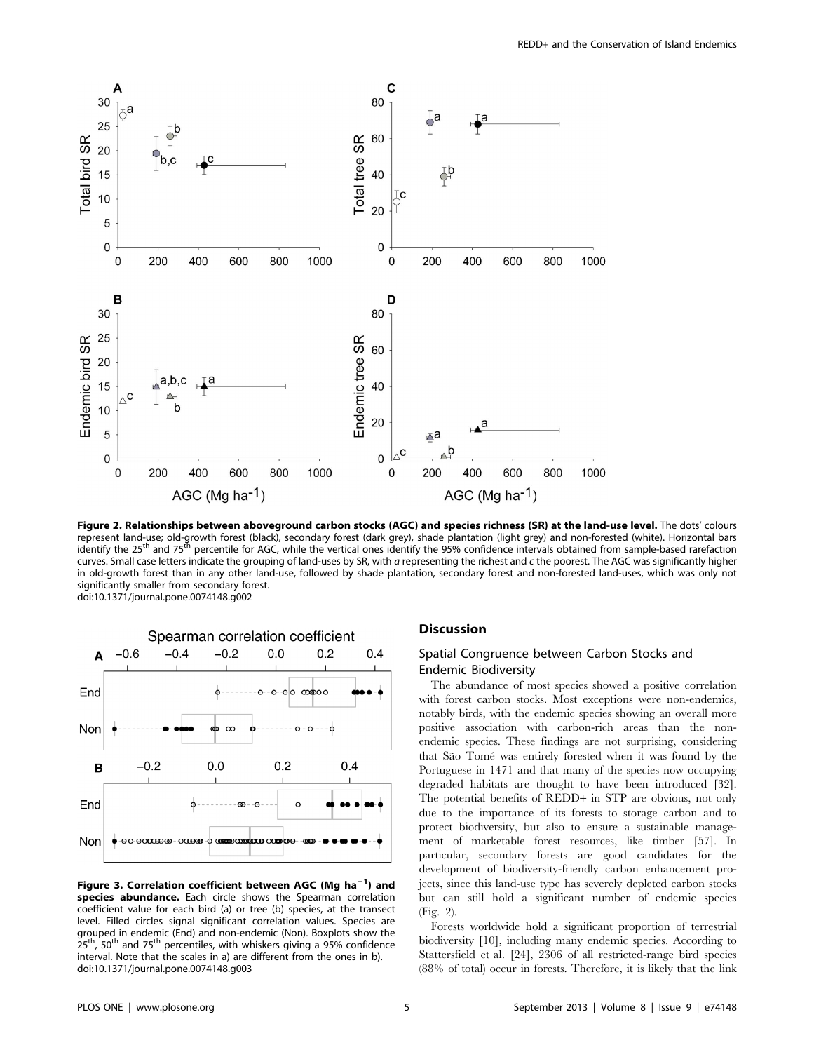

Figure 2. Relationships between aboveground carbon stocks (AGC) and species richness (SR) at the land-use level. The dots' colours represent land-use; old-growth forest (black), secondary forest (dark grey), shade plantation (light grey) and non-forested (white). Horizontal bars identify the 25<sup>th</sup> and 75<sup>th</sup> percentile for AGC, while the vertical ones identify the 95% confidence intervals obtained from sample-based rarefaction curves. Small case letters indicate the grouping of land-uses by SR, with a representing the richest and c the poorest. The AGC was significantly higher in old-growth forest than in any other land-use, followed by shade plantation, secondary forest and non-forested land-uses, which was only not significantly smaller from secondary forest. doi:10.1371/journal.pone.0074148.g002



Figure 3. Correlation coefficient between AGC (Mg  $ha^{-1}$ ) and species abundance. Each circle shows the Spearman correlation coefficient value for each bird (a) or tree (b) species, at the transect level. Filled circles signal significant correlation values. Species are grouped in endemic (End) and non-endemic (Non). Boxplots show the  $25^{th}$ ,  $50^{th}$  and 75<sup>th</sup> percentiles, with whiskers giving a 95% confidence interval. Note that the scales in a) are different from the ones in b). doi:10.1371/journal.pone.0074148.g003

#### **Discussion**

### Spatial Congruence between Carbon Stocks and Endemic Biodiversity

The abundance of most species showed a positive correlation with forest carbon stocks. Most exceptions were non-endemics, notably birds, with the endemic species showing an overall more positive association with carbon-rich areas than the nonendemic species. These findings are not surprising, considering that São Tomé was entirely forested when it was found by the Portuguese in 1471 and that many of the species now occupying degraded habitats are thought to have been introduced [32]. The potential benefits of REDD+ in STP are obvious, not only due to the importance of its forests to storage carbon and to protect biodiversity, but also to ensure a sustainable management of marketable forest resources, like timber [57]. In particular, secondary forests are good candidates for the development of biodiversity-friendly carbon enhancement projects, since this land-use type has severely depleted carbon stocks but can still hold a significant number of endemic species (Fig. 2).

Forests worldwide hold a significant proportion of terrestrial biodiversity [10], including many endemic species. According to Stattersfield et al. [24], 2306 of all restricted-range bird species (88% of total) occur in forests. Therefore, it is likely that the link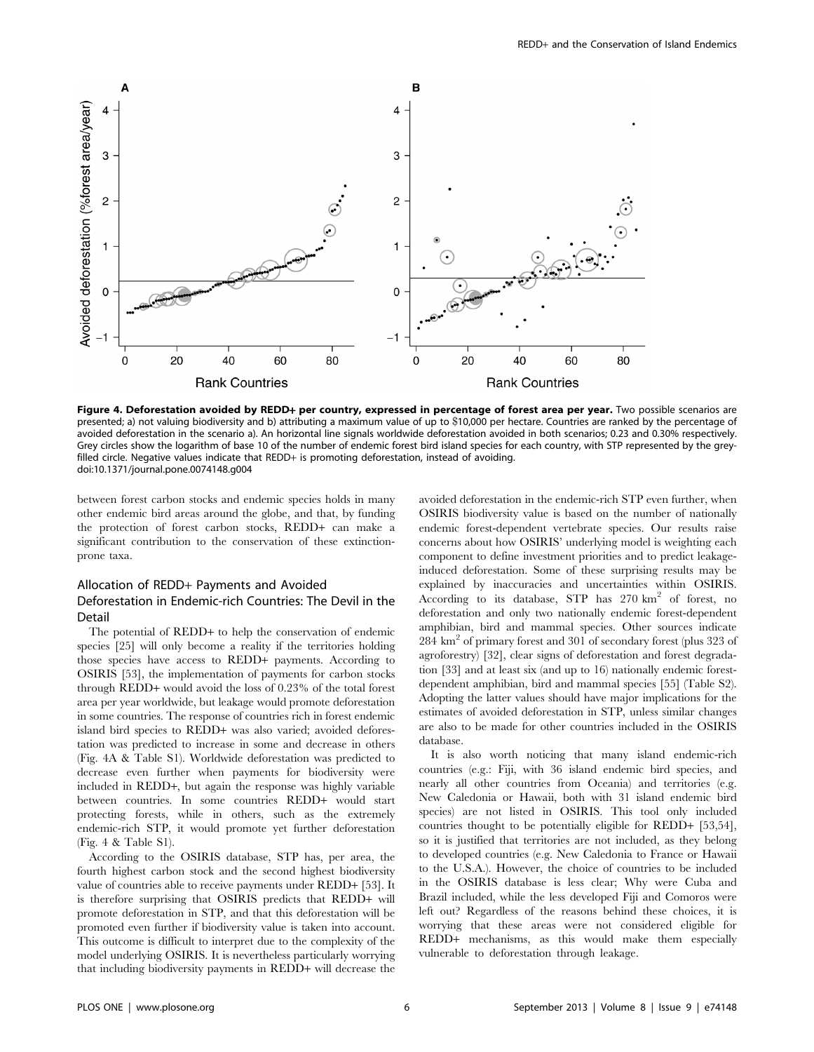

Figure 4. Deforestation avoided by REDD+ per country, expressed in percentage of forest area per year. Two possible scenarios are presented; a) not valuing biodiversity and b) attributing a maximum value of up to \$10,000 per hectare. Countries are ranked by the percentage of avoided deforestation in the scenario a). An horizontal line signals worldwide deforestation avoided in both scenarios; 0.23 and 0.30% respectively. Grey circles show the logarithm of base 10 of the number of endemic forest bird island species for each country, with STP represented by the greyfilled circle. Negative values indicate that REDD+ is promoting deforestation, instead of avoiding. doi:10.1371/journal.pone.0074148.g004

between forest carbon stocks and endemic species holds in many other endemic bird areas around the globe, and that, by funding the protection of forest carbon stocks, REDD+ can make a significant contribution to the conservation of these extinctionprone taxa.

## Allocation of REDD+ Payments and Avoided Deforestation in Endemic-rich Countries: The Devil in the Detail

The potential of REDD+ to help the conservation of endemic species [25] will only become a reality if the territories holding those species have access to REDD+ payments. According to OSIRIS [53], the implementation of payments for carbon stocks through REDD+ would avoid the loss of 0.23% of the total forest area per year worldwide, but leakage would promote deforestation in some countries. The response of countries rich in forest endemic island bird species to REDD+ was also varied; avoided deforestation was predicted to increase in some and decrease in others (Fig. 4A & Table S1). Worldwide deforestation was predicted to decrease even further when payments for biodiversity were included in REDD+, but again the response was highly variable between countries. In some countries REDD+ would start protecting forests, while in others, such as the extremely endemic-rich STP, it would promote yet further deforestation (Fig. 4 & Table S1).

According to the OSIRIS database, STP has, per area, the fourth highest carbon stock and the second highest biodiversity value of countries able to receive payments under REDD+ [53]. It is therefore surprising that OSIRIS predicts that REDD+ will promote deforestation in STP, and that this deforestation will be promoted even further if biodiversity value is taken into account. This outcome is difficult to interpret due to the complexity of the model underlying OSIRIS. It is nevertheless particularly worrying that including biodiversity payments in REDD+ will decrease the avoided deforestation in the endemic-rich STP even further, when OSIRIS biodiversity value is based on the number of nationally endemic forest-dependent vertebrate species. Our results raise concerns about how OSIRIS' underlying model is weighting each component to define investment priorities and to predict leakageinduced deforestation. Some of these surprising results may be explained by inaccuracies and uncertainties within OSIRIS. According to its database,  $STP$  has  $270 \text{ km}^2$  of forest, no deforestation and only two nationally endemic forest-dependent amphibian, bird and mammal species. Other sources indicate 284 km2 of primary forest and 301 of secondary forest (plus 323 of agroforestry) [32], clear signs of deforestation and forest degradation [33] and at least six (and up to 16) nationally endemic forestdependent amphibian, bird and mammal species [55] (Table S2). Adopting the latter values should have major implications for the estimates of avoided deforestation in STP, unless similar changes are also to be made for other countries included in the OSIRIS database.

It is also worth noticing that many island endemic-rich countries (e.g.: Fiji, with 36 island endemic bird species, and nearly all other countries from Oceania) and territories (e.g. New Caledonia or Hawaii, both with 31 island endemic bird species) are not listed in OSIRIS. This tool only included countries thought to be potentially eligible for REDD+ [53,54], so it is justified that territories are not included, as they belong to developed countries (e.g. New Caledonia to France or Hawaii to the U.S.A.). However, the choice of countries to be included in the OSIRIS database is less clear; Why were Cuba and Brazil included, while the less developed Fiji and Comoros were left out? Regardless of the reasons behind these choices, it is worrying that these areas were not considered eligible for REDD+ mechanisms, as this would make them especially vulnerable to deforestation through leakage.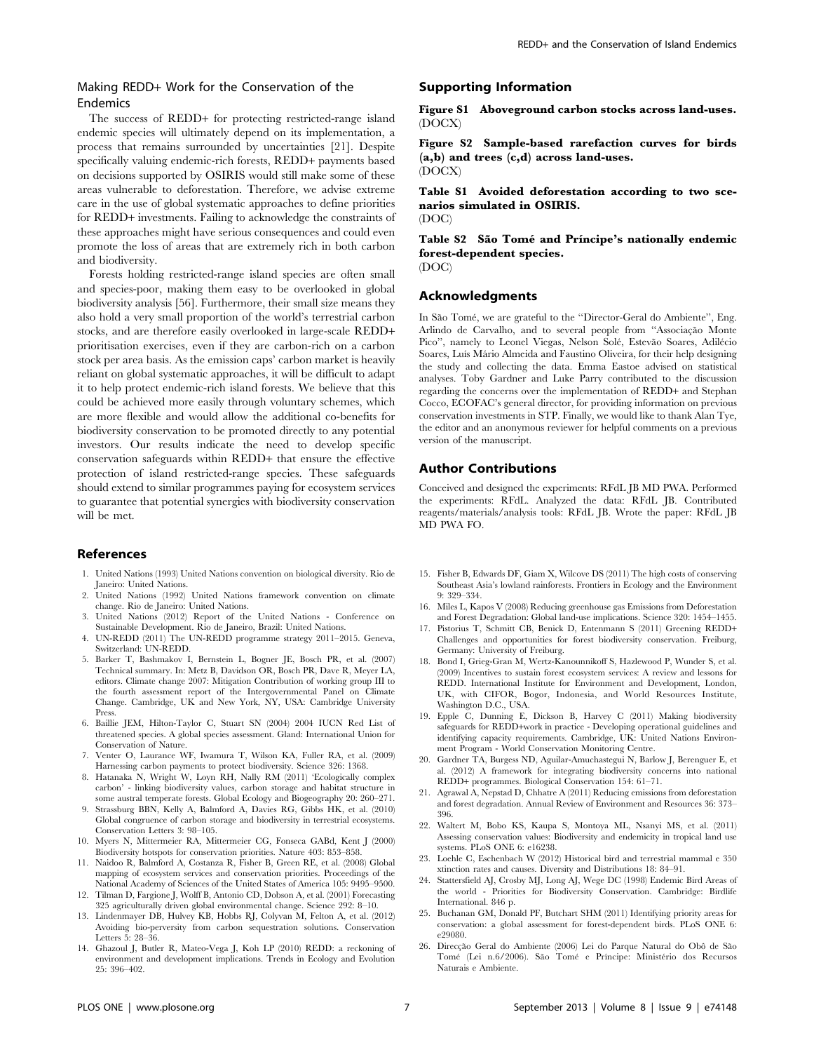## Making REDD+ Work for the Conservation of the Endemics

The success of REDD+ for protecting restricted-range island endemic species will ultimately depend on its implementation, a process that remains surrounded by uncertainties [21]. Despite specifically valuing endemic-rich forests, REDD+ payments based on decisions supported by OSIRIS would still make some of these areas vulnerable to deforestation. Therefore, we advise extreme care in the use of global systematic approaches to define priorities for REDD+ investments. Failing to acknowledge the constraints of these approaches might have serious consequences and could even promote the loss of areas that are extremely rich in both carbon and biodiversity.

Forests holding restricted-range island species are often small and species-poor, making them easy to be overlooked in global biodiversity analysis [56]. Furthermore, their small size means they also hold a very small proportion of the world's terrestrial carbon stocks, and are therefore easily overlooked in large-scale REDD+ prioritisation exercises, even if they are carbon-rich on a carbon stock per area basis. As the emission caps' carbon market is heavily reliant on global systematic approaches, it will be difficult to adapt it to help protect endemic-rich island forests. We believe that this could be achieved more easily through voluntary schemes, which are more flexible and would allow the additional co-benefits for biodiversity conservation to be promoted directly to any potential investors. Our results indicate the need to develop specific conservation safeguards within REDD+ that ensure the effective protection of island restricted-range species. These safeguards should extend to similar programmes paying for ecosystem services to guarantee that potential synergies with biodiversity conservation will be met.

#### References

- 1. United Nations (1993) United Nations convention on biological diversity. Rio de Janeiro: United Nations.
- 2. United Nations (1992) United Nations framework convention on climate change. Rio de Janeiro: United Nations.
- 3. United Nations (2012) Report of the United Nations Conference on Sustainable Development. Rio de Janeiro, Brazil: United Nations.
- 4. UN-REDD (2011) The UN-REDD programme strategy 2011–2015. Geneva, Switzerland: UN-REDD.
- 5. Barker T, Bashmakov I, Bernstein L, Bogner JE, Bosch PR, et al. (2007) Technical summary. In: Metz B, Davidson OR, Bosch PR, Dave R, Meyer LA, editors. Climate change 2007: Mitigation Contribution of working group III to the fourth assessment report of the Intergovernmental Panel on Climate Change. Cambridge, UK and New York, NY, USA: Cambridge University Press.
- 6. Baillie JEM, Hilton-Taylor C, Stuart SN (2004) 2004 IUCN Red List of threatened species. A global species assessment. Gland: International Union for Conservation of Nature.
- 7. Venter O, Laurance WF, Iwamura T, Wilson KA, Fuller RA, et al. (2009) Harnessing carbon payments to protect biodiversity. Science 326: 1368.
- 8. Hatanaka N, Wright W, Loyn RH, Nally RM (2011) 'Ecologically complex carbon' - linking biodiversity values, carbon storage and habitat structure in some austral temperate forests. Global Ecology and Biogeography 20: 260–271.
- 9. Strassburg BBN, Kelly A, Balmford A, Davies RG, Gibbs HK, et al. (2010) Global congruence of carbon storage and biodiversity in terrestrial ecosystems. Conservation Letters 3: 98–105.
- 10. Myers N, Mittermeier RA, Mittermeier CG, Fonseca GABd, Kent J (2000) Biodiversity hotspots for conservation priorities. Nature 403: 853–858.
- 11. Naidoo R, Balmford A, Costanza R, Fisher B, Green RE, et al. (2008) Global mapping of ecosystem services and conservation priorities. Proceedings of the National Academy of Sciences of the United States of America 105: 9495–9500.
- 12. Tilman D, Fargione J, Wolff B, Antonio CD, Dobson A, et al. (2001) Forecasting 325 agriculturally driven global environmental change. Science 292: 8–10.
- 13. Lindenmayer DB, Hulvey KB, Hobbs RJ, Colyvan M, Felton A, et al. (2012) Avoiding bio-perversity from carbon sequestration solutions. Conservation Letters 5: 28–36.
- 14. Ghazoul J, Butler R, Mateo-Vega J, Koh LP (2010) REDD: a reckoning of environment and development implications. Trends in Ecology and Evolution 25: 396–402.

#### Supporting Information

Figure S1 Aboveground carbon stocks across land-uses. (DOCX)

Figure S2 Sample-based rarefaction curves for birds (a,b) and trees (c,d) across land-uses. (DOCX)

Table S1 Avoided deforestation according to two scenarios simulated in OSIRIS. (DOC)

Table S2 São Tomé and Príncipe's nationally endemic forest-dependent species.

(DOC)

#### Acknowledgments

In São Tomé, we are grateful to the "Director-Geral do Ambiente", Eng. Arlindo de Carvalho, and to several people from "Associação Monte Pico", namely to Leonel Viegas, Nelson Solé, Estevão Soares, Adilécio Soares, Luís Mário Almeida and Faustino Oliveira, for their help designing the study and collecting the data. Emma Eastoe advised on statistical analyses. Toby Gardner and Luke Parry contributed to the discussion regarding the concerns over the implementation of REDD+ and Stephan Cocco, ECOFAC's general director, for providing information on previous conservation investments in STP. Finally, we would like to thank Alan Tye, the editor and an anonymous reviewer for helpful comments on a previous version of the manuscript.

#### Author Contributions

Conceived and designed the experiments: RFdL JB MD PWA. Performed the experiments: RFdL. Analyzed the data: RFdL JB. Contributed reagents/materials/analysis tools: RFdL JB. Wrote the paper: RFdL JB MD PWA FO.

- 15. Fisher B, Edwards DF, Giam X, Wilcove DS (2011) The high costs of conserving Southeast Asia's lowland rainforests. Frontiers in Ecology and the Environment 9: 329–334.
- 16. Miles L, Kapos V (2008) Reducing greenhouse gas Emissions from Deforestation and Forest Degradation: Global land-use implications. Science 320: 1454–1455.
- 17. Pistorius T, Schmitt CB, Benick D, Entenmann S (2011) Greening REDD+ Challenges and opportunities for forest biodiversity conservation. Freiburg, Germany: University of Freiburg.
- 18. Bond I, Grieg-Gran M, Wertz-Kanounnikoff S, Hazlewood P, Wunder S, et al. (2009) Incentives to sustain forest ecosystem services: A review and lessons for REDD. International Institute for Environment and Development, London, UK, with CIFOR, Bogor, Indonesia, and World Resources Institute, Washington D.C., USA.
- 19. Epple C, Dunning E, Dickson B, Harvey C (2011) Making biodiversity safeguards for REDD+work in practice - Developing operational guidelines and identifying capacity requirements. Cambridge, UK: United Nations Environment Program - World Conservation Monitoring Centre.
- 20. Gardner TA, Burgess ND, Aguilar-Amuchastegui N, Barlow J, Berenguer E, et al. (2012) A framework for integrating biodiversity concerns into national REDD+ programmes. Biological Conservation 154: 61–71.
- 21. Agrawal A, Nepstad D, Chhatre A (2011) Reducing emissions from deforestation and forest degradation. Annual Review of Environment and Resources 36: 373– 396.
- 22. Waltert M, Bobo KS, Kaupa S, Montoya ML, Nsanyi MS, et al. (2011) Assessing conservation values: Biodiversity and endemicity in tropical land use systems. PLoS ONE 6: e16238.
- 23. Loehle C, Eschenbach W (2012) Historical bird and terrestrial mammal e 350 xtinction rates and causes. Diversity and Distributions 18: 84–91.
- 24. Stattersfield AJ, Crosby MJ, Long AJ, Wege DC (1998) Endemic Bird Areas of the world - Priorities for Biodiversity Conservation. Cambridge: Birdlife International. 846 p.
- 25. Buchanan GM, Donald PF, Butchart SHM (2011) Identifying priority areas for conservation: a global assessment for forest-dependent birds. PLoS ONE 6: e29080.
- 26. Direcção Geral do Ambiente (2006) Lei do Parque Natural do Obô de São Tomé (Lei n.6/2006). São Tomé e Príncipe: Ministério dos Recursos Naturais e Ambiente.